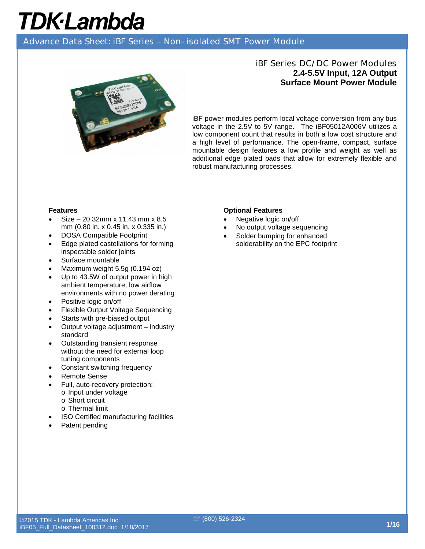### Advance Data Sheet: iBF Series – Non-isolated SMT Power Module



### iBF Series DC/DC Power Modules **2.4-5.5V Input, 12A Output Surface Mount Power Module**

iBF power modules perform local voltage conversion from any bus voltage in the 2.5V to 5V range. The iBF05012A006V utilizes a low component count that results in both a low cost structure and a high level of performance. The open-frame, compact, surface mountable design features a low profile and weight as well as additional edge plated pads that allow for extremely flexible and robust manufacturing processes.

### **Features**

- Size 20.32mm x 11.43 mm x 8.5 mm (0.80 in. x 0.45 in. x 0.335 in.)
- DOSA Compatible Footprint
- Edge plated castellations for forming inspectable solder joints
- Surface mountable
- Maximum weight 5.5g (0.194 oz)
- Up to 43.5W of output power in high ambient temperature, low airflow environments with no power derating
- Positive logic on/off
- Flexible Output Voltage Sequencing
- Starts with pre-biased output
- Output voltage adjustment industry standard
- Outstanding transient response without the need for external loop tuning components
- Constant switching frequency
- Remote Sense
- Full, auto-recovery protection:
	- o Input under voltage
	- o Short circuit
	- o Thermal limit
- ISO Certified manufacturing facilities
- Patent pending

### **Optional Features**

- Negative logic on/off
- No output voltage sequencing
- Solder bumping for enhanced solderability on the EPC footprint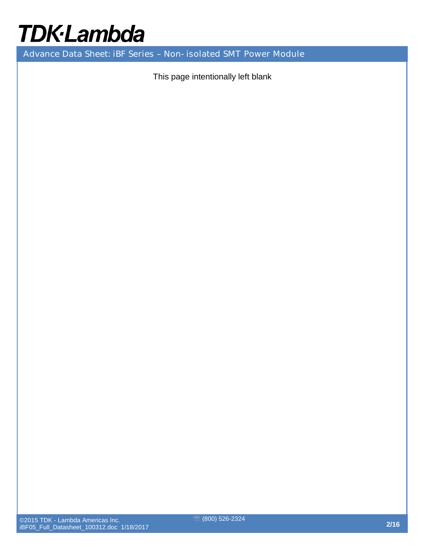Advance Data Sheet: iBF Series – Non-isolated SMT Power Module

This page intentionally left blank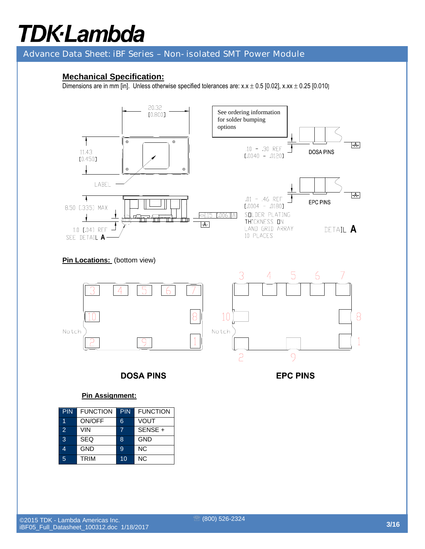## Advance Data Sheet: iBF Series – Non-isolated SMT Power Module

### **Mechanical Specification:**

Dimensions are in mm [in]. Unless otherwise specified tolerances are:  $x.x \pm 0.5$  [0.02],  $x.x \pm 0.25$  [0.010]



**Pin Locations:** (bottom view)



**EPC PINS** 

**DOSA PINS** 

### **Pin Assignment:**

| <b>PIN</b>    | <b>FUNCTION</b> | <b>PIN</b> | <b>FUNCTION</b> |
|---------------|-----------------|------------|-----------------|
|               | ON/OFF          | 6          | VOUT            |
| $\mathcal{P}$ | <b>VIN</b>      | 7          | SENSE +         |
| 3             | <b>SEQ</b>      | 8          | <b>GND</b>      |
| 4,            | GND             | 9          | ΝC              |
| 5             | <b>TRIM</b>     | 10         | <b>NC</b>       |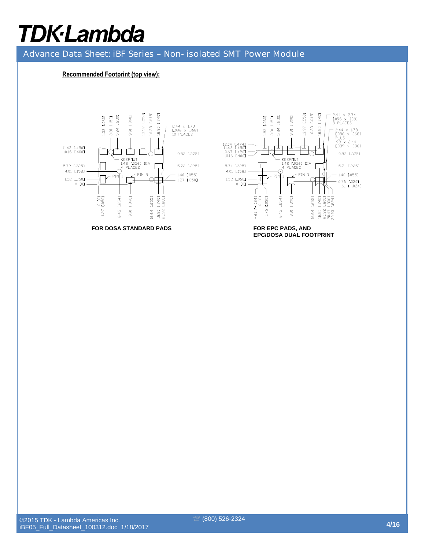Advance Data Sheet: iBF Series – Non-isolated SMT Power Module

#### **Recommended Footprint (top view):**





**EPC/DOSA DUAL FOOTPRINT**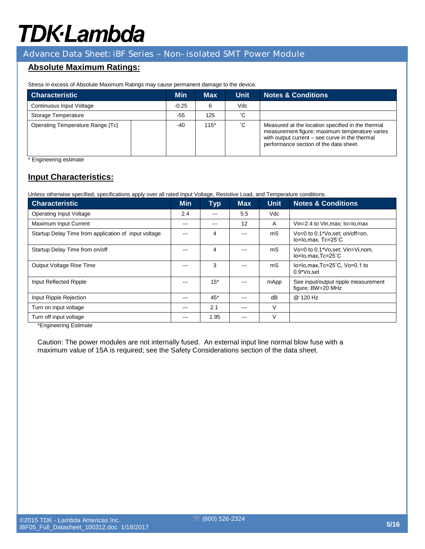## **TDK-Lambda**

## Advance Data Sheet: iBF Series – Non-isolated SMT Power Module

### **Absolute Maximum Ratings:**

Stress in excess of Absolute Maximum Ratings may cause permanent damage to the device.

| <b>Characteristic</b>            | <b>Min</b> | <b>Max</b> | <b>Unit</b> | <b>Notes &amp; Conditions</b>                                                                                                                                                                   |
|----------------------------------|------------|------------|-------------|-------------------------------------------------------------------------------------------------------------------------------------------------------------------------------------------------|
| Continuous Input Voltage         | $-0.25$    |            | Vdc         |                                                                                                                                                                                                 |
| Storage Temperature              | -55        | 125        | °С          |                                                                                                                                                                                                 |
| Operating Temperature Range (Tc) | $-40$      | $115*$     | °С          | Measured at the location specified in the thermal<br>measurement figure; maximum temperature varies<br>with output current - see curve in the thermal<br>performance section of the data sheet. |

\* Engineering estimate

## **Input Characteristics:**

Unless otherwise specified, specifications apply over all rated Input Voltage, Resistive Load, and Temperature conditions.

| <b>Characteristic</b>                                | <b>Min</b> | <b>Typ</b> | <b>Max</b> | <b>Unit</b> | <b>Notes &amp; Conditions</b>                                         |
|------------------------------------------------------|------------|------------|------------|-------------|-----------------------------------------------------------------------|
| <b>Operating Input Voltage</b>                       |            | $--$       | 5.5        | Vdc         |                                                                       |
| Maximum Input Current                                | ---        | ---        | 12         | A           | Vin=2.4 to Vin, max; lo=lo, max                                       |
| Startup Delay Time from application of input voltage |            | 4          | ---        | mS          | Vo=0 to 0.1*Vo, set; on/off=on,<br>lo=lo,max, Tc=25°C                 |
| Startup Delay Time from on/off                       |            | 4          |            | mS          | Vo=0 to 0.1*Vo, set; Vin=Vi, nom,<br>$Io = Io, max, Tc = 25^{\circ}C$ |
| Output Voltage Rise Time                             |            | 3          |            | mS          | $lo = Io, max, Tc = 25^{\circ}C, Vo = 0.1$ to<br>0.9*Vo.set           |
| Input Reflected Ripple                               |            | $15*$      |            | mApp        | See input/output ripple measurement<br>figure; BW=20 MHz              |
| Input Ripple Rejection                               | ---        | $45*$      | ---        | dB          | @ 120 Hz                                                              |
| Turn on input voltage                                | ---        | 2.1        | ---        | V           |                                                                       |
| Turn off input voltage                               | ---        | 1.95       | $- - -$    | V           |                                                                       |

\*Engineering Estimate

Caution: The power modules are not internally fused. An external input line normal blow fuse with a maximum value of 15A is required; see the Safety Considerations section of the data sheet.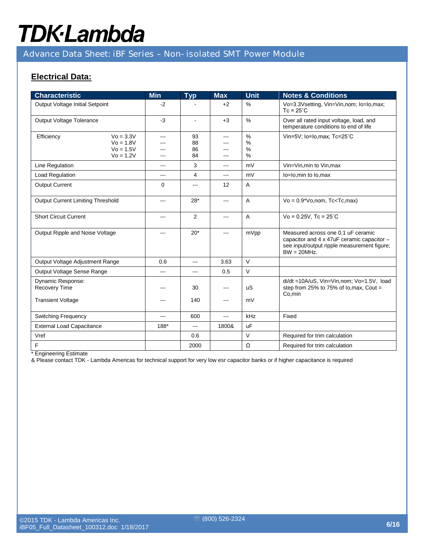Advance Data Sheet: iBF Series – Non-isolated SMT Power Module

## **Electrical Data:**

| <b>Characteristic</b>                    |                                                          | <b>Min</b>                          | <b>Typ</b>               | <b>Max</b>                          | <b>Unit</b>            | <b>Notes &amp; Conditions</b>                                                                                                                     |
|------------------------------------------|----------------------------------------------------------|-------------------------------------|--------------------------|-------------------------------------|------------------------|---------------------------------------------------------------------------------------------------------------------------------------------------|
| Output Voltage Initial Setpoint          |                                                          | $-2$                                |                          | $+2$                                | $\%$                   | Vo=3.3Vsetting, Vin=Vin, nom; lo=lo, max;<br>$Tc = 25^{\circ}C$                                                                                   |
| Output Voltage Tolerance                 |                                                          | $-3$                                | $\overline{\phantom{a}}$ | $+3$                                | $\%$                   | Over all rated input voltage, load, and<br>temperature conditions to end of life                                                                  |
| Efficiency                               | $Vo = 3.3V$<br>$Vo = 1.8V$<br>$Vo = 1.5V$<br>$Vo = 1.2V$ | $\overline{a}$<br>---<br>---<br>--- | 93<br>88<br>86<br>84     | $\overline{a}$<br>---<br>---<br>--- | $\%$<br>$\%$<br>%<br>% | Vin=5V; Io=Io, max; Tc=25°C                                                                                                                       |
| Line Regulation                          |                                                          | ---                                 | 3                        | $\overline{a}$                      | mV                     | Vin=Vin, min to Vin, max                                                                                                                          |
| Load Regulation                          |                                                          | ---                                 | 4                        | $\overline{a}$                      | mV                     | lo=lo, min to lo, max                                                                                                                             |
| <b>Output Current</b>                    |                                                          | 0                                   | $-$                      | 12                                  | $\overline{A}$         |                                                                                                                                                   |
| <b>Output Current Limiting Threshold</b> |                                                          | $\overline{a}$                      | $28*$                    | $\overline{a}$                      | $\overline{A}$         | $Vo = 0.9*Vo$ , nom, Tc <tc, max)<="" td=""></tc,>                                                                                                |
| <b>Short Circuit Current</b>             |                                                          | $---$                               | 2                        | $\overline{a}$                      | $\overline{A}$         | $Vo = 0.25V$ , Tc = $25^{\circ}C$                                                                                                                 |
| Output Ripple and Noise Voltage          |                                                          | ---                                 | $20*$                    | $\sim$                              | mVpp                   | Measured across one 0.1 uF ceramic<br>capacitor and 4 x 47uF ceramic capacitor -<br>see input/output ripple measurement figure;<br>$BW = 20MHz$ . |
| Output Voltage Adjustment Range          |                                                          | 0.6                                 | $\overline{a}$           | 3.63                                | $\vee$                 |                                                                                                                                                   |
| Output Voltage Sense Range               |                                                          | $\overline{a}$                      | $---$                    | 0.5                                 | $\vee$                 |                                                                                                                                                   |
| Dynamic Response:<br>Recovery Time       |                                                          | ---                                 | 30                       | $---$                               | uS                     | di/dt =10A/uS, Vin=Vin, nom; Vo=1.5V, load<br>step from 25% to 75% of lo, max, Cout =<br>Co,min                                                   |
| <b>Transient Voltage</b>                 |                                                          | ---                                 | 140                      | $---$                               | mV                     |                                                                                                                                                   |
| <b>Switching Frequency</b>               |                                                          | ---                                 | 600                      | $\sim$                              | kHz                    | Fixed                                                                                                                                             |
| <b>External Load Capacitance</b>         |                                                          | 188*                                | $\sim$                   | 1800&                               | <b>uF</b>              |                                                                                                                                                   |
| Vref                                     |                                                          |                                     | 0.6                      |                                     | $\vee$                 | Required for trim calculation                                                                                                                     |
| F                                        |                                                          |                                     | 2000                     |                                     | Ω                      | Required for trim calculation                                                                                                                     |

\* Engineering Estimate

& Please contact TDK - Lambda Americas for technical support for very low esr capacitor banks or if higher capacitance is required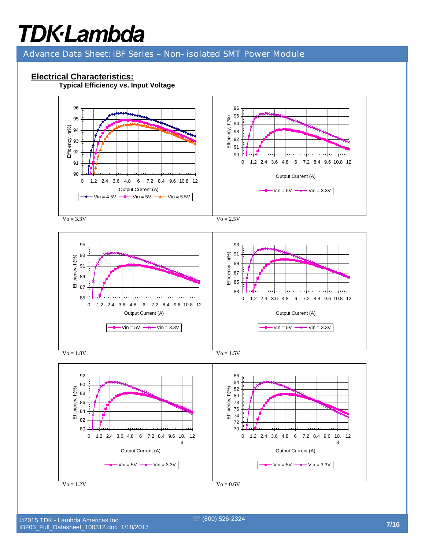Advance Data Sheet: iBF Series – Non-isolated SMT Power Module

## **Electrical Characteristics:**

**Typical Efficiency vs. Input Voltage** 



℡ (800) 526-2324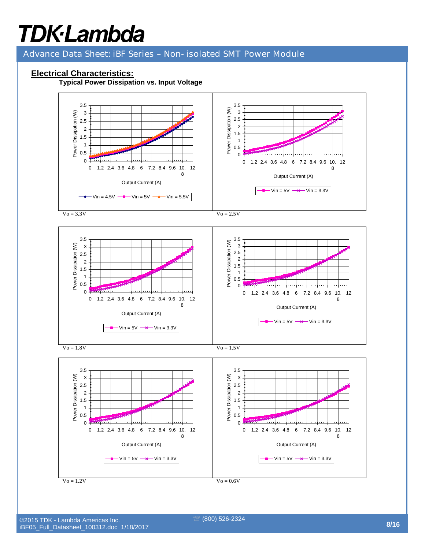Advance Data Sheet: iBF Series – Non-isolated SMT Power Module

## **Electrical Characteristics:**

**Typical Power Dissipation vs. Input Voltage** 



℡ (800) 526-2324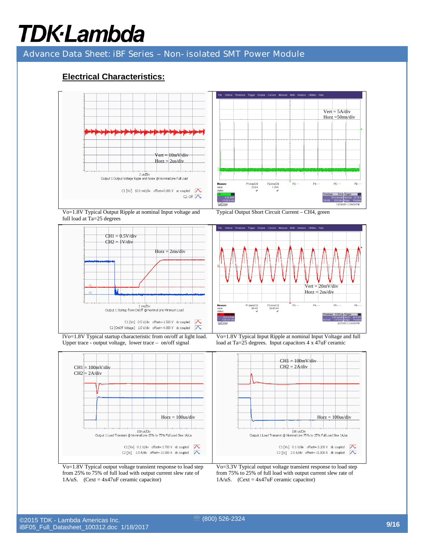## Advance Data Sheet: iBF Series – Non-isolated SMT Power Module

## **Electrical Characteristics:**



Vo=1.8V Typical Output Ripple at nominal Input voltage and full load at  $Ta=25$  degrees









Typical Output Short Circuit Current – CH4, green



Vo=1.8V Typical Input Ripple at nominal Input Voltage and full load at Ta=25 degrees. Input capacitors 4 x 47uF ceramic



Vo=3.3V Typical output voltage transient response to load step from 75% to 25% of full load with output current slew rate of 1A/uS. (Cext =  $4x47uF$  ceramic capacitor)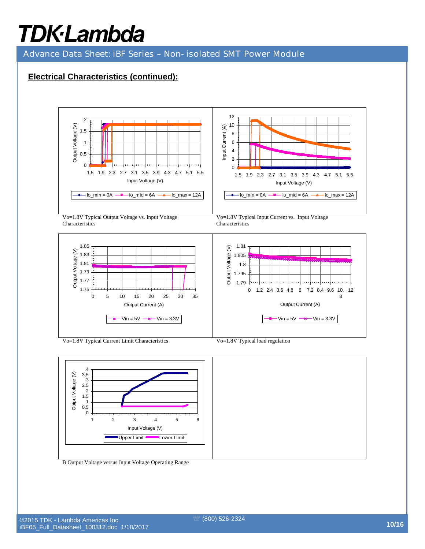Advance Data Sheet: iBF Series – Non-isolated SMT Power Module

## **Electrical Characteristics (continued):**





B Output Voltage versus Input Voltage Operating Range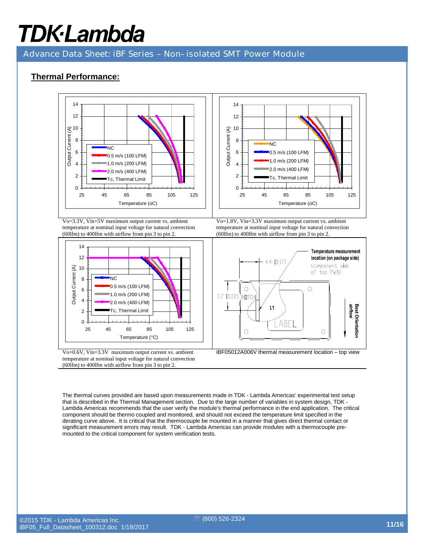Advance Data Sheet: iBF Series – Non-isolated SMT Power Module

## **Thermal Performance:**





Vo=0.6V, Vin=3.3V maximum output current vs. ambient temperature at nominal input voltage for natural convection (60lfm) to 400lfm with airflow from pin 3 to pin 2.

iBF05012A006V thermal measurement location – top view The thermal curves provided are based upon measurements made in TDK - Lambda Americas' experimental test setup

 $\circ$ 

 $\circ$ 

NOTCH

5.7 [0.22]

4.4 [0.17]

 $L1$ 

LABEI

(component side

**Best Orientation<br>alrflow** 

of top PWB)

 $\overline{O}$ 

 $\circ$ 

that is described in the Thermal Management section. Due to the large number of variables in system design, TDK - Lambda Americas recommends that the user verify the module's thermal performance in the end application. The critical component should be thermo coupled and monitored, and should not exceed the temperature limit specified in the derating curve above. It is critical that the thermocouple be mounted in a manner that gives direct thermal contact or significant measurement errors may result. TDK - Lambda Americas can provide modules with a thermocouple premounted to the critical component for system verification tests.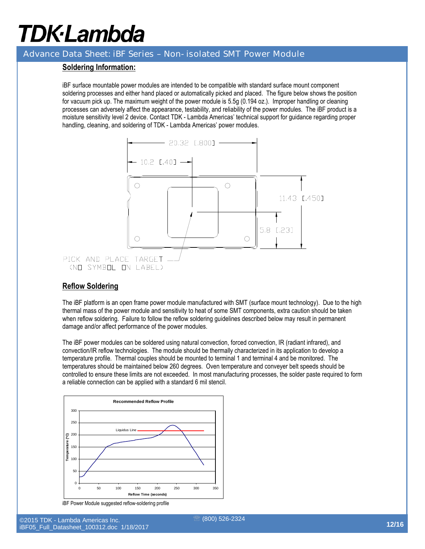## Advance Data Sheet: iBF Series – Non-isolated SMT Power Module

### **Soldering Information:**

iBF surface mountable power modules are intended to be compatible with standard surface mount component soldering processes and either hand placed or automatically picked and placed. The figure below shows the position for vacuum pick up. The maximum weight of the power module is 5.5g (0.194 oz.). Improper handling or cleaning processes can adversely affect the appearance, testability, and reliability of the power modules. The iBF product is a moisture sensitivity level 2 device. Contact TDK - Lambda Americas' technical support for guidance regarding proper handling, cleaning, and soldering of TDK - Lambda Americas' power modules.



### **Reflow Soldering**

The iBF platform is an open frame power module manufactured with SMT (surface mount technology). Due to the high thermal mass of the power module and sensitivity to heat of some SMT components, extra caution should be taken when reflow soldering. Failure to follow the reflow soldering guidelines described below may result in permanent damage and/or affect performance of the power modules.

The iBF power modules can be soldered using natural convection, forced convection, IR (radiant infrared), and convection/IR reflow technologies. The module should be thermally characterized in its application to develop a temperature profile. Thermal couples should be mounted to terminal 1 and terminal 4 and be monitored. The temperatures should be maintained below 260 degrees. Oven temperature and conveyer belt speeds should be controlled to ensure these limits are not exceeded. In most manufacturing processes, the solder paste required to form a reliable connection can be applied with a standard 6 mil stencil.



iBF Power Module suggested reflow-soldering profile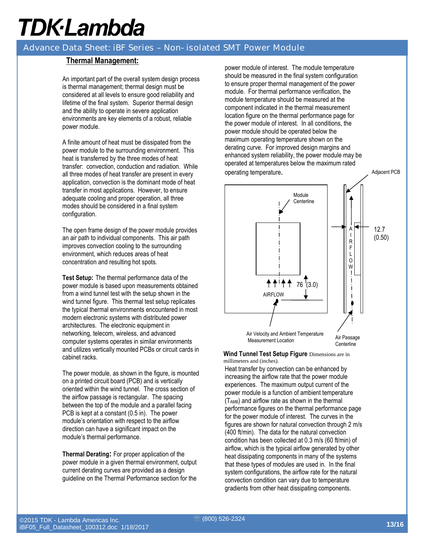## Advance Data Sheet: iBF Series – Non-isolated SMT Power Module

### **Thermal Management:**

An important part of the overall system design process is thermal management; thermal design must be considered at all levels to ensure good reliability and lifetime of the final system. Superior thermal design and the ability to operate in severe application environments are key elements of a robust, reliable power module.

A finite amount of heat must be dissipated from the power module to the surrounding environment. This heat is transferred by the three modes of heat transfer: convection, conduction and radiation. While all three modes of heat transfer are present in every application, convection is the dominant mode of heat transfer in most applications. However, to ensure adequate cooling and proper operation, all three modes should be considered in a final system configuration.

The open frame design of the power module provides an air path to individual components. This air path improves convection cooling to the surrounding environment, which reduces areas of heat concentration and resulting hot spots.

**Test Setup:** The thermal performance data of the power module is based upon measurements obtained from a wind tunnel test with the setup shown in the wind tunnel figure. This thermal test setup replicates the typical thermal environments encountered in most modern electronic systems with distributed power architectures. The electronic equipment in networking, telecom, wireless, and advanced computer systems operates in similar environments and utilizes vertically mounted PCBs or circuit cards in cabinet racks.

The power module, as shown in the figure, is mounted on a printed circuit board (PCB) and is vertically oriented within the wind tunnel. The cross section of the airflow passage is rectangular. The spacing between the top of the module and a parallel facing PCB is kept at a constant (0.5 in). The power module's orientation with respect to the airflow direction can have a significant impact on the module's thermal performance.

**Thermal Derating:** For proper application of the power module in a given thermal environment, output current derating curves are provided as a design guideline on the Thermal Performance section for the

power module of interest. The module temperature should be measured in the final system configuration to ensure proper thermal management of the power module. For thermal performance verification, the module temperature should be measured at the component indicated in the thermal measurement location figure on the thermal performance page for the power module of interest. In all conditions, the power module should be operated below the maximum operating temperature shown on the derating curve. For improved design margins and enhanced system reliability, the power module may be operated at temperatures below the maximum rated operating temperature.



**Wind Tunnel Test Setup Figure** Dimensions are in millimeters and (inches).

Heat transfer by convection can be enhanced by increasing the airflow rate that the power module experiences. The maximum output current of the power module is a function of ambient temperature (TAMB) and airflow rate as shown in the thermal performance figures on the thermal performance page for the power module of interest. The curves in the figures are shown for natural convection through 2 m/s (400 ft/min). The data for the natural convection condition has been collected at 0.3 m/s (60 ft/min) of airflow, which is the typical airflow generated by other heat dissipating components in many of the systems that these types of modules are used in. In the final system configurations, the airflow rate for the natural convection condition can vary due to temperature gradients from other heat dissipating components.

Adjacent PCB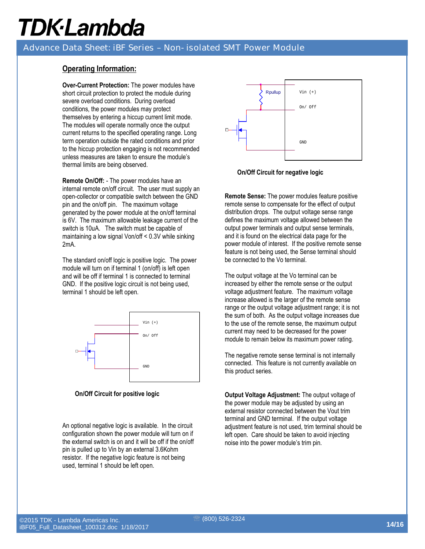### Advance Data Sheet: iBF Series – Non-isolated SMT Power Module

### **Operating Information:**

**Over-Current Protection:** The power modules have short circuit protection to protect the module during severe overload conditions. During overload conditions, the power modules may protect themselves by entering a hiccup current limit mode. The modules will operate normally once the output current returns to the specified operating range. Long term operation outside the rated conditions and prior to the hiccup protection engaging is not recommended unless measures are taken to ensure the module's thermal limits are being observed.

**Remote On/Off:** - The power modules have an internal remote on/off circuit. The user must supply an open-collector or compatible switch between the GND pin and the on/off pin. The maximum voltage generated by the power module at the on/off terminal is 6V. The maximum allowable leakage current of the switch is 10uA. The switch must be capable of maintaining a low signal Von/off < 0.3V while sinking 2mA.

The standard on/off logic is positive logic. The power module will turn on if terminal 1 (on/off) is left open and will be off if terminal 1 is connected to terminal GND. If the positive logic circuit is not being used, terminal 1 should be left open.



### **On/Off Circuit for positive logic**

An optional negative logic is available. In the circuit configuration shown the power module will turn on if the external switch is on and it will be off if the on/off pin is pulled up to Vin by an external 3.6Kohm resistor. If the negative logic feature is not being used, terminal 1 should be left open.



**On/Off Circuit for negative logic**

**Remote Sense:** The power modules feature positive remote sense to compensate for the effect of output distribution drops. The output voltage sense range defines the maximum voltage allowed between the output power terminals and output sense terminals, and it is found on the electrical data page for the power module of interest. If the positive remote sense feature is not being used, the Sense terminal should be connected to the Vo terminal.

The output voltage at the Vo terminal can be increased by either the remote sense or the output voltage adjustment feature. The maximum voltage increase allowed is the larger of the remote sense range or the output voltage adjustment range; it is not the sum of both. As the output voltage increases due to the use of the remote sense, the maximum output current may need to be decreased for the power module to remain below its maximum power rating.

The negative remote sense terminal is not internally connected. This feature is not currently available on this product series.

**Output Voltage Adjustment:** The output voltage of the power module may be adjusted by using an external resistor connected between the Vout trim terminal and GND terminal. If the output voltage adjustment feature is not used, trim terminal should be left open. Care should be taken to avoid injecting noise into the power module's trim pin.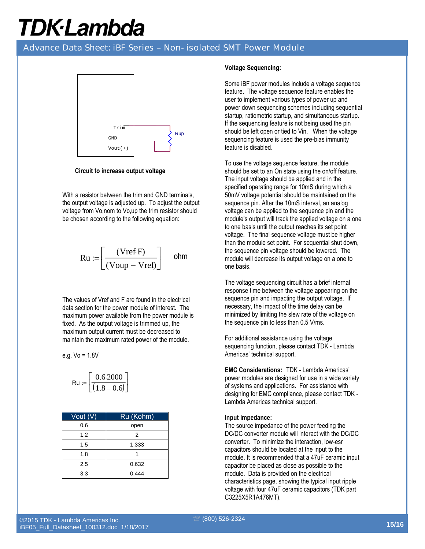### Advance Data Sheet: iBF Series – Non-isolated SMT Power Module



#### **Circuit to increase output voltage**

With a resistor between the trim and GND terminals, the output voltage is adjusted up. To adjust the output voltage from Vo,nom to Vo,up the trim resistor should be chosen according to the following equation:

$$
Ru:=\begin{bmatrix}\frac{(Vref\cdot F)}{(Voup-Vref)}\end{bmatrix}\quad\text{ohm}
$$

The values of Vref and F are found in the electrical data section for the power module of interest. The maximum power available from the power module is fixed. As the output voltage is trimmed up, the maximum output current must be decreased to maintain the maximum rated power of the module.

e.g. 
$$
V_0 = 1.8V
$$

$$
\text{Ru}:=\left[\frac{0.6\text{-}2000}{\left(1.8-0.6\right)}\right]
$$

| Vout $(V)$ | Ru (Kohm) |  |  |  |
|------------|-----------|--|--|--|
| 0.6        | open      |  |  |  |
| 1.2        | 2         |  |  |  |
| 1.5        | 1.333     |  |  |  |
| 1.8        |           |  |  |  |
| 2.5        | 0.632     |  |  |  |
| 3.3        | 0.444     |  |  |  |
|            |           |  |  |  |

#### **Voltage Sequencing:**

Some iBF power modules include a voltage sequence feature. The voltage sequence feature enables the user to implement various types of power up and power down sequencing schemes including sequential startup, ratiometric startup, and simultaneous startup. If the sequencing feature is not being used the pin should be left open or tied to Vin. When the voltage sequencing feature is used the pre-bias immunity feature is disabled.

To use the voltage sequence feature, the module should be set to an On state using the on/off feature. The input voltage should be applied and in the specified operating range for 10mS during which a 50mV voltage potential should be maintained on the sequence pin. After the 10mS interval, an analog voltage can be applied to the sequence pin and the module's output will track the applied voltage on a one to one basis until the output reaches its set point voltage. The final sequence voltage must be higher than the module set point. For sequential shut down, the sequence pin voltage should be lowered. The module will decrease its output voltage on a one to one basis.

The voltage sequencing circuit has a brief internal response time between the voltage appearing on the sequence pin and impacting the output voltage. If necessary, the impact of the time delay can be minimized by limiting the slew rate of the voltage on the sequence pin to less than 0.5 V/ms.

For additional assistance using the voltage sequencing function, please contact TDK - Lambda Americas' technical support.

**EMC Considerations:** TDK - Lambda Americas' power modules are designed for use in a wide variety of systems and applications. For assistance with designing for EMC compliance, please contact TDK - Lambda Americas technical support.

#### **Input Impedance:**

The source impedance of the power feeding the DC/DC converter module will interact with the DC/DC converter. To minimize the interaction, low-esr capacitors should be located at the input to the module. It is recommended that a 47uF ceramic input capacitor be placed as close as possible to the module. Data is provided on the electrical characteristics page, showing the typical input ripple voltage with four 47uF ceramic capacitors (TDK part C3225X5R1A476MT).